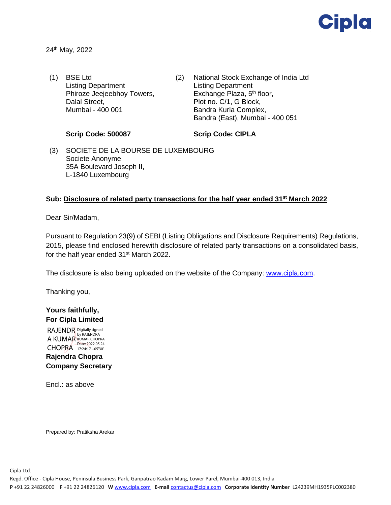

24th May, 2022

- (1) BSE Ltd Listing Department Phiroze Jeejeebhoy Towers, Dalal Street, Mumbai - 400 001
- (2) National Stock Exchange of India Ltd Listing Department Exchange Plaza, 5<sup>th</sup> floor, Plot no. C/1, G Block, Bandra Kurla Complex, Bandra (East), Mumbai - 400 051

#### **Scrip Code: 500087**

### **Scrip Code: CIPLA**

(3) SOCIETE DE LA BOURSE DE LUXEMBOURG Societe Anonyme 35A Boulevard Joseph II, L-1840 Luxembourg

## **Sub: Disclosure of related party transactions for the half year ended 31 st March 2022**

Dear Sir/Madam,

Pursuant to Regulation 23(9) of SEBI (Listing Obligations and Disclosure Requirements) Regulations, 2015, please find enclosed herewith disclosure of related party transactions on a consolidated basis, for the half year ended 31<sup>st</sup> March 2022.

The disclosure is also being uploaded on the website of the Company: [www.cipla.com.](http://www.cipla.com/)

Thanking you,

# **Yours faithfully, For Cipla Limited**

RAJENDR A KUMAR CHOPRA 17:24:17 +05'30' Digitally signed<br>by RAJENDRA<br>KUMAR CHOPRA Date: 2022.05.24

# **Rajendra Chopra Company Secretary**

Encl.: as above

Prepared by: Pratiksha Arekar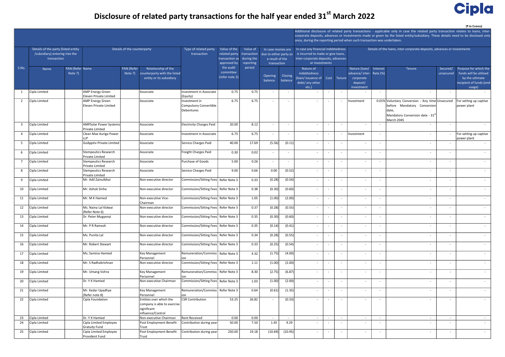#### (₹ in Crores)

# Disclosure of related party transactions for the half year ended 31<sup>st</sup> March 2022

|                |                                                                    |                                                   |                              |                                                     |                                             |                          |                     |                                                         |                                    |                                                                         |                                                                                                                                    |                          |                                         |                                                                         | Additional disclosure of related party transactions - applicable only in case the related party transaction relates to loans, inter- |                          |                                                 |  |
|----------------|--------------------------------------------------------------------|---------------------------------------------------|------------------------------|-----------------------------------------------------|---------------------------------------------|--------------------------|---------------------|---------------------------------------------------------|------------------------------------|-------------------------------------------------------------------------|------------------------------------------------------------------------------------------------------------------------------------|--------------------------|-----------------------------------------|-------------------------------------------------------------------------|--------------------------------------------------------------------------------------------------------------------------------------|--------------------------|-------------------------------------------------|--|
|                |                                                                    |                                                   |                              |                                                     |                                             |                          |                     |                                                         |                                    |                                                                         | corporate deposits, advances or investments made or given by the listed entity/subsidiary. These details need to be disclosed only |                          |                                         |                                                                         |                                                                                                                                      |                          |                                                 |  |
|                |                                                                    |                                                   |                              |                                                     |                                             |                          |                     |                                                         |                                    | once, during the reporting period when such transaction was undertaken. |                                                                                                                                    |                          |                                         |                                                                         |                                                                                                                                      |                          |                                                 |  |
|                | Details of the party (listed entity<br>Details of the counterparty |                                                   |                              | Type of related party                               | Value of the                                | Value of                 | In case monies are  |                                                         | In case any financial indebtedness |                                                                         |                                                                                                                                    |                          |                                         | Details of the loans, inter-corporate deposits, advances or investments |                                                                                                                                      |                          |                                                 |  |
|                | /subsidiary) entering into the                                     |                                                   |                              |                                                     | transaction                                 | related party            | transaction         | due to either party as<br>during the<br>a result of the |                                    | is incurred to make or give loans,                                      |                                                                                                                                    |                          |                                         |                                                                         |                                                                                                                                      |                          |                                                 |  |
|                | transaction                                                        |                                                   |                              |                                                     |                                             | transaction as           |                     |                                                         |                                    | inter-corporate deposits, advances                                      |                                                                                                                                    |                          |                                         |                                                                         |                                                                                                                                      |                          |                                                 |  |
| S.No.          |                                                                    |                                                   |                              |                                                     |                                             | approved by<br>the audit | reporting<br>period | transaction                                             |                                    | or investments                                                          |                                                                                                                                    |                          |                                         |                                                                         |                                                                                                                                      |                          |                                                 |  |
|                | PAN (Refer Name<br>Name<br>Note 7)                                 |                                                   | <b>PAN</b> (Refer<br>Note 7) | Relationship of the<br>counterparty with the listed |                                             | committee                |                     |                                                         |                                    | Nature of<br>indebtedness                                               |                                                                                                                                    |                          | Nature (loan/<br>advance/inter-Rate (%) | Interest                                                                | Tenure                                                                                                                               | Secured/<br>unsecured    | Purpose for which the<br>funds will be utilised |  |
|                |                                                                    |                                                   |                              | entity or its subsidiary                            |                                             | (refer note 2)           |                     | Opening                                                 | <b>Closing</b>                     | (loan/issuance of Cost                                                  |                                                                                                                                    | Tenure                   | corporate                               |                                                                         |                                                                                                                                      |                          | by the ultimate                                 |  |
|                |                                                                    |                                                   |                              |                                                     |                                             |                          |                     | balance                                                 | balance                            | debt/ any other                                                         |                                                                                                                                    |                          | deposit/                                |                                                                         |                                                                                                                                      |                          | recipient of funds (end-                        |  |
|                |                                                                    |                                                   |                              |                                                     |                                             |                          |                     |                                                         |                                    | $etc.$ )                                                                |                                                                                                                                    |                          | investment                              |                                                                         |                                                                                                                                      |                          | usage)                                          |  |
| 1              | Cipla Limited                                                      | <b>AMP Energy Green</b><br>Eleven Private Limited |                              | Associate                                           | Investment in Associate<br>(Equity)         | 0.75                     | 0.75                |                                                         |                                    |                                                                         | $\overline{\phantom{a}}$                                                                                                           | $\sim$                   |                                         |                                                                         | $\sim$                                                                                                                               | $\overline{\phantom{a}}$ | $\sim$                                          |  |
| 2              | Cipla Limited                                                      | <b>AMP Energy Green</b>                           |                              | Associate                                           | Investment in                               | 6.75                     | 6.75                |                                                         | $\overline{a}$                     |                                                                         |                                                                                                                                    | $\sim$                   | Investment                              |                                                                         | 0.01% Voluntary Conversion - Any time Unsecured                                                                                      |                          | For setting up captive                          |  |
|                |                                                                    | Eleven Private Limited                            |                              |                                                     | Compulsory Convertible                      |                          |                     |                                                         |                                    |                                                                         |                                                                                                                                    |                          |                                         |                                                                         | before Mandatory Conversion                                                                                                          |                          | power plant                                     |  |
|                |                                                                    |                                                   |                              |                                                     | Debentures                                  |                          |                     |                                                         |                                    |                                                                         |                                                                                                                                    |                          |                                         |                                                                         | date,                                                                                                                                |                          |                                                 |  |
|                |                                                                    |                                                   |                              |                                                     |                                             |                          |                     |                                                         |                                    |                                                                         |                                                                                                                                    |                          |                                         |                                                                         | Mandatory Conversion date - 31 <sup>s</sup><br>March 2045                                                                            |                          |                                                 |  |
| $\overline{3}$ | Cipla Limited                                                      | AMPSolar Power Systems                            |                              | Associate                                           | <b>Electricity Charges Paid</b>             | 20.00                    | 8.12                |                                                         | $\overline{\phantom{a}}$           |                                                                         |                                                                                                                                    | $\overline{\phantom{a}}$ |                                         |                                                                         | $\overline{\phantom{a}}$                                                                                                             | $\overline{\phantom{a}}$ |                                                 |  |
| 4              | Cipla Limited                                                      | Private Limited<br>Clean Max Auriga Power         |                              | Associate                                           | Investment in Associate                     | 6.75                     | 6.75                |                                                         | $\overline{\phantom{a}}$           |                                                                         |                                                                                                                                    | $\sim$                   | Investment                              | $\overline{\phantom{a}}$                                                | $\sim$                                                                                                                               | $\sim$                   | For setting up captive                          |  |
|                |                                                                    | LLP                                               |                              |                                                     |                                             |                          |                     |                                                         |                                    |                                                                         |                                                                                                                                    |                          |                                         |                                                                         |                                                                                                                                      |                          | power plant                                     |  |
| - 5            | Cipla Limited                                                      | GoApptiv Private Limited                          |                              | Associate                                           | Service Charges Paid                        | 40.00                    | 17.69               | (5.56)                                                  | (0.11)                             |                                                                         |                                                                                                                                    | $\overline{\phantom{a}}$ |                                         | $\overline{\phantom{a}}$                                                | $\overline{\phantom{a}}$                                                                                                             | $\overline{\phantom{a}}$ | $\sim$                                          |  |
| 6              | Cipla Limited                                                      | Stempeutics Research<br><b>Private Limited</b>    |                              | Associate                                           | Freight Charges Paid                        | 0.30                     | 0.02                |                                                         |                                    |                                                                         |                                                                                                                                    |                          |                                         |                                                                         | $\sim$                                                                                                                               |                          | $\sim$                                          |  |
| $\overline{7}$ | Cipla Limited                                                      | <b>Stempeutics Research</b><br>Private Limited    |                              | Associate                                           | Purchase of Goods                           | 5.00                     | 0.26                |                                                         | $\sim$                             |                                                                         |                                                                                                                                    | $\overline{\phantom{a}}$ | $\sim$                                  |                                                                         | $\sim$                                                                                                                               | $\sim$                   | $\sim$                                          |  |
| 8              | Cipla Limited                                                      | Stempeutics Research                              |                              | Associate                                           | Service Charges Paid                        | 9.00                     | 0.66                | 0.00                                                    | (0.52)                             |                                                                         | $\overline{\phantom{a}}$                                                                                                           | $\sim$                   | $\overline{\phantom{a}}$                |                                                                         | $\sim$                                                                                                                               | $\overline{\phantom{a}}$ | $\sim$                                          |  |
|                |                                                                    | Private Limited                                   |                              |                                                     |                                             |                          |                     |                                                         |                                    |                                                                         |                                                                                                                                    |                          |                                         |                                                                         |                                                                                                                                      |                          |                                                 |  |
| 9              | Cipla Limited                                                      | Mr. Adil Zainulbhai                               |                              | Non-executive director                              | Commission/Sitting Fees Refer Note 3        |                          | 0.33                | (0.28)                                                  | (0.54)                             |                                                                         |                                                                                                                                    | $\sim$                   | $\overline{\phantom{a}}$                |                                                                         | $\sim$                                                                                                                               | $\overline{\phantom{a}}$ | $\sim$                                          |  |
| 10             | Cipla Limited                                                      | Mr. Ashok Sinha                                   |                              | Non-executive director                              | Commission/Sitting Fees   Refer Note 3      |                          | 0.38                | (0.30)                                                  | (0.60)                             |                                                                         |                                                                                                                                    | $\overline{\phantom{a}}$ | $\overline{\phantom{a}}$                | $\overline{\phantom{a}}$                                                | $\sim$                                                                                                                               | $\overline{\phantom{a}}$ | $\sim$                                          |  |
| 11             | Cipla Limited                                                      | Mr. M K Hamied                                    |                              | Non-executive Vice-<br>Chairman                     | Commission/Sitting Fees Refer Note 3        |                          | 1.05                | (1.00)                                                  | (2.00)                             |                                                                         |                                                                                                                                    |                          |                                         |                                                                         | $\overline{\phantom{a}}$                                                                                                             |                          | $\sim$                                          |  |
| 12             | Cipla Limited                                                      | Ms. Naina Lal Kidwai<br>(Refer Note 6)            |                              | Non-executive director                              | Commission/Sitting Fees   Refer Note 3      |                          | 0.37                | (0.28)                                                  | (0.55)                             |                                                                         | $\overline{\phantom{a}}$                                                                                                           | $\sim$                   | $\sim$                                  |                                                                         | $\sim$                                                                                                                               | $\sim$                   | $\sim$                                          |  |
| 13             | Cipla Limited                                                      | Dr. Peter Mugyenyi                                |                              | Non-executive director                              | Commission/Sitting Fees Refer Note 3        |                          | 0.35                | (0.30)                                                  | (0.60)                             |                                                                         | $\overline{a}$                                                                                                                     | $\sim$                   | $\sim$                                  | $\overline{\phantom{a}}$                                                | $\sim$                                                                                                                               | $\sim$                   |                                                 |  |
| 14             | Cipla Limited                                                      | Mr. P R Ramesh                                    |                              | Non-executive director                              | Commission/Sitting Fees Refer Note 3        |                          | 0.35                | (0.14)                                                  | (0.41)                             |                                                                         |                                                                                                                                    |                          |                                         |                                                                         | $\sim$                                                                                                                               |                          | $\sim$                                          |  |
| 15             | Cipla Limited                                                      | Ms. Punita Lal                                    |                              | Non-executive director                              | Commission/Sitting Fees Refer Note 3        |                          | 0.34                | (0.28)                                                  | (0.55)                             |                                                                         | $\overline{\phantom{a}}$                                                                                                           | $\overline{\phantom{a}}$ | $\sim$                                  | $\overline{\phantom{a}}$                                                | $\sim$                                                                                                                               | $\sim$                   | $\sim$                                          |  |
| 16             | Cipla Limited                                                      | Mr. Robert Stewart                                |                              | Non-executive director                              | Commission/Sitting Fees Refer Note 3        |                          | 0.33                | (0.25)                                                  | (0.54)                             | $\overline{\phantom{a}}$                                                | $\overline{\phantom{a}}$                                                                                                           | $\overline{\phantom{a}}$ | $\sim$                                  |                                                                         | $\sim$                                                                                                                               | $\sim$                   | $\sim$ $-$                                      |  |
| 17             | Cipla Limited                                                      | Ms. Samina Hamied                                 |                              | Key Management<br>l Personnel                       | Remuneration/Commiss   Refer Note 3<br>lion |                          | 4.32                | (1.75)                                                  | (4.00)                             |                                                                         |                                                                                                                                    | $\sim$                   | $\sim$                                  |                                                                         | $\overline{\phantom{a}}$                                                                                                             | $\overline{\phantom{a}}$ | $\sim$                                          |  |
| 18             | Cipla Limited                                                      | Mr. S Radhakrishnan                               |                              | Non-executive director                              | Commission/Sitting Fees Refer Note 3        |                          | $1.11\,$            | (1.00)                                                  | (2.00)                             |                                                                         |                                                                                                                                    | $\overline{\phantom{a}}$ | $\sim$                                  | $\overline{\phantom{a}}$                                                | $\overline{\phantom{a}}$                                                                                                             | $\sim$                   | $\sim$                                          |  |
| 19             | Cipla Limited                                                      | Mr. Umang Vohra                                   |                              | Key Management<br>Personnel                         | Remuneration/Commiss   Refer Note 3<br>lion |                          | 8.30                | (2.75)                                                  | (6.87)                             |                                                                         |                                                                                                                                    |                          |                                         |                                                                         | $\sim$                                                                                                                               | $\overline{\phantom{a}}$ | $\sim$                                          |  |
| 20             | Cipla Limited                                                      | Dr. Y K Hamied                                    |                              | Non-executive Chairman                              | Commission/Sitting Fees Refer Note 3        |                          | 1.03                | (1.00)                                                  | (2.00)                             | $\overline{\phantom{a}}$                                                | $\overline{\phantom{a}}$                                                                                                           | $\sim$                   | $\sim$                                  | $\overline{\phantom{a}}$                                                | $\sim$                                                                                                                               | $\sim$                   | $\sim$                                          |  |
| 21             | Cipla Limited                                                      | Mr. Kedar Upadhye<br>(Refer note 8)               |                              | Key Management<br>Personnel                         | Remuneration/Commiss   Refer Note 3<br>lion |                          | 0.64                | (0.61)                                                  | (1.35)                             |                                                                         | $\overline{\phantom{a}}$                                                                                                           | $\overline{\phantom{a}}$ | $\overline{\phantom{a}}$                | $\overline{\phantom{a}}$                                                | $\sim$                                                                                                                               | $\sim$                   | $\sim$ $-$                                      |  |
| 22             | Cipla Limited                                                      | Cipla Foundation                                  |                              | Entities over which the                             | CSR Contribution                            | 53.25                    | 26.82               |                                                         | (0.33)                             |                                                                         |                                                                                                                                    |                          |                                         |                                                                         | $\overline{\phantom{a}}$                                                                                                             |                          | $\sim$                                          |  |
|                |                                                                    |                                                   |                              | company is able to exercise                         |                                             |                          |                     |                                                         |                                    |                                                                         |                                                                                                                                    |                          |                                         |                                                                         |                                                                                                                                      |                          |                                                 |  |
|                |                                                                    |                                                   |                              | significant<br>influence/Control                    |                                             |                          |                     |                                                         |                                    |                                                                         |                                                                                                                                    |                          |                                         |                                                                         |                                                                                                                                      |                          |                                                 |  |
| 23             | Cipla Limited                                                      | Dr. Y K Hamied                                    |                              | Non-executive Chairman                              | Rent Received                               | 0.00                     | 0.00                | $\sim$                                                  | $\sim$                             | $\sim$                                                                  | $\sim$                                                                                                                             | $\sim$                   | $\sim$                                  | $\overline{a}$                                                          | $\sim$                                                                                                                               | $\sim$                   | $\sim$ $-$                                      |  |
| 24             | Cipla Limited                                                      | Cipla Limited Employee                            |                              | Post Employment Benefit                             | Contribution during year                    | 50.00                    | 7.50                | 1.45                                                    | 9.29                               |                                                                         |                                                                                                                                    |                          |                                         |                                                                         | $\sim$                                                                                                                               | $\overline{\phantom{a}}$ | $\sim$                                          |  |
|                |                                                                    | <b>Gratuity Fund</b>                              |                              | Trust                                               |                                             |                          |                     |                                                         |                                    |                                                                         |                                                                                                                                    |                          |                                         |                                                                         |                                                                                                                                      |                          |                                                 |  |
| 25             | Cipla Limited                                                      | Cipla Limited Employee<br>Provident Fund          |                              | Post Employment Benefit<br> Trust                   | Contribution during year                    | 250.00                   | 19.18               | (10.69)                                                 | (10.95)                            |                                                                         | $\overline{\phantom{a}}$                                                                                                           | $\overline{\phantom{a}}$ | $\sim$                                  | $\overline{\phantom{a}}$                                                | $\sim$                                                                                                                               | $\overline{\phantom{a}}$ | $\sim$                                          |  |
|                |                                                                    |                                                   |                              |                                                     |                                             |                          |                     |                                                         |                                    |                                                                         |                                                                                                                                    |                          |                                         |                                                                         |                                                                                                                                      |                          |                                                 |  |

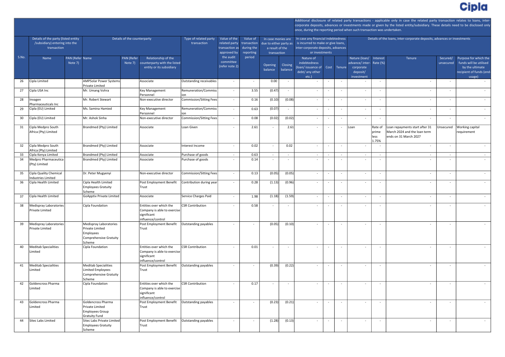| st:<br>%)               | Tenure                                                                                  | Secured/<br>unsecured    | Purpose for which the<br>funds will be utilised<br>by the ultimate<br>recipient of funds (end-<br>usage) |
|-------------------------|-----------------------------------------------------------------------------------------|--------------------------|----------------------------------------------------------------------------------------------------------|
|                         |                                                                                         | $\overline{\phantom{0}}$ |                                                                                                          |
|                         | $\overline{\phantom{0}}$                                                                | $\frac{1}{2}$            |                                                                                                          |
|                         | $\overline{\phantom{a}}$                                                                | $\frac{1}{2}$            |                                                                                                          |
|                         | $\overline{a}$                                                                          | $\overline{\phantom{0}}$ |                                                                                                          |
|                         | $\overline{\phantom{a}}$                                                                | $\overline{\phantom{a}}$ |                                                                                                          |
| $\overline{\mathsf{f}}$ | Loan repayments start after 31<br>March 2024 and the loan term<br>ends on 31 March 2027 | Unsecured                | Working capital<br>requirement                                                                           |
|                         | $\overline{\phantom{a}}$                                                                | $\overline{\phantom{0}}$ |                                                                                                          |
|                         | $\overline{\phantom{0}}$                                                                | $\overline{\phantom{0}}$ |                                                                                                          |
|                         |                                                                                         |                          |                                                                                                          |
|                         | $\frac{1}{2}$                                                                           | $\frac{1}{2}$            |                                                                                                          |
|                         |                                                                                         |                          |                                                                                                          |
|                         | $\frac{1}{2}$                                                                           | $\frac{1}{2}$            |                                                                                                          |
|                         |                                                                                         |                          |                                                                                                          |
|                         |                                                                                         |                          |                                                                                                          |
|                         |                                                                                         |                          |                                                                                                          |
|                         |                                                                                         |                          |                                                                                                          |
|                         |                                                                                         |                          |                                                                                                          |
|                         |                                                                                         |                          |                                                                                                          |
|                         |                                                                                         |                          |                                                                                                          |

Name PAN (Refer Name Note 7) PAN (Refer Note 7) Relationship of the counterparty with the listed entity or its subsidiary<br>
entity or its subsidiary and the contract of the contract of the contract of the contract of the contract of balance Closing balance Nature of indebtedness (loan/ issuance of Cost Tenure debt/ any other etc.) Nature (loan/ Interest advance/ inter-Rate (%) corporate deposit/ investment Tenure **Secured/** unsecured corporate deposits, advances or investments made or given by the listed entity/subsidiary. These details need to be disclosed only once, during the reporting period when such transaction was undertaken. Details of the party (listed entity /subsidiary) entering into the transaction Details of the counterparty Type of related party transaction Value of the related party transaction as approved by the audit committee (refer note 2) Value of transaction during the reporting period In case monies are due to either party as | is incurred to make or give loans, a result of the transaction In case any financial indebtedness inter-corporate deposits, advances or investments Details of the loans, inter-corporate deposits, advances or investments S.No. 26 Cipla Limited **AAMPSolar Power Systems** Private Limited AARCA8987CAssociate Outstanding receivables - 0.00 - - - - - - - - - - 27 Cipla USA Inc Note Not Applicable Mr. Umang Vohra Note 1911 | Key Management Personnel Remuneration/Commiss ion 3.55 - (0.47) - - - - - - - - - 28 Invagen Pharmaceuticals Inc Not ApplicableMr. Robert Stewart Not ApplicableNon-executive director Commission/Sitting Fees 0.16 - (0.10) (0.08) - - - - - - - - 29 Cipla (EU) Limited | Ms. Samina Hamied | Key Management Personnel Remuneration/Commiss ion 0.63 - (0.07) - - - - - - - - - 30 Cipla (EU) Limited Not ApplicableMr. Ashok Sinha AAZPS2933F Non-executive director Commission/Sitting Fees 0.08 - (0.02) (0.02) - - - - - - - - 31 Cipla Medpro South Africa (Pty) Limited Brandmed (Pty) Limited | Associate | Loan Given | - | 2.61 - | 2.61 - | - | Loan Rate of prime less 1.75% Loan repayments start after 31 March 2024 and the loan term ends on 31 March 2027 32 Cipla Medpro South Africa (Pty) Limited Not ApplicableBrandmed (Pty) Limited Not ApplicableAssociate Interest Income 0.02 - 0.02 - - - - - - - - - 33 Cipla Kenya Limited Not ApplicableBrandmed (Pty) Limited Not ApplicableAssociate Purchase of goods - 0.63 - - - - - - - - - - 34 Medpro Pharmaceutica (Pty) Limited Not Applicable Brandmed (Pty) Limited Not Associate Not Applicables of goods (Note 1, 2014 - 1, 2014 - 1, 2014 - 1, 2014 - 1, 2014 - 1, 2015 - 1, 2016 - 1, 2017 - 1, 2017 - 1, 2017 - 1, 2017 - 1, 2017 - 1, 2017 - 1, 2017 -35 Cipla Quality Chemical Industries Limited Not ApplicableDr. Peter Mugyenyi FEMPM9113RNon-executive director Commission/Sitting Fees 0.13 - (0.05) (0.05) - - - - - - - - 36 Cipla Health Limited Cipla Health Limited Employees Gratuity Scheme Post Employment Benefit Trust Contribution during year 0.28 - (1.13) (0.96) - - - - - - - - 37 Cipla Health Limited AAGCC1585RGoApptiv Private Limited AAFCG9458EAssociate Service Charges Paid 1.98 - (1.18) (1.59) - - - - - - - - 38 Medispray Laboratories Private Limited Cipla Foundation **AACCE A**<br>Tentities over which the Company is able to exercise significant influence/control CSR Contribution | - | 0.58 | - | - | - | - | - | - | - | - | -39 Medispray Laboratories Private Limited Medispray Laboratories Private Limited Employees Comprehensive Gratuity Scheme Post Employment Benefit Trust Outstanding payables - - (0.05) (0.10) - - - - - - - - 40 Meditab Specialities Limited AAACM6124ACipla Foundation AABTC2983REntities over which the Company is able to exercise significant influence/control CSR Contribution 0.01 - - - - - - - - - - - 41 Meditab Specialities Limited **Meditab Specialities** Limited Employees Comprehensive Gratuity Scheme Post Employment Benefit Trust  $\vert$  Outstanding payables  $\vert$  -  $\vert$  -  $\vert$  (0.39) $\vert$  (0.22) -  $\vert$  -  $\vert$  -  $\vert$  -  $\vert$  -  $\vert$ 42 Goldencross Pharma Limited  $|Cipla$  Foundation  $|Cipla$  Finder Foundation  $|Cipla$ Company is able to exercise significant influence/control CSR Contribution 0.17 - - - - - - - - - - - 43 Goldencross Pharma Limited Goldencross Pharma Private Limited Employees Group Gratuity Fund Post Employment Benefit Trust Outstanding payables - - (0.23) (0.21) - - - - - - - - 44 Sitec Labs Limited **A**Sitec Labs Private Limited Employees Gratuity Scheme  $\overline{P}_{\text{Post}}$  Employment Benefit  $\overline{P}_{\text{Outstanding}$  payables Trust Outstanding payables - - (1.28) (0.13) - - - - - - - -



Additional disclosure of related party transactions - applicable only in case the related party transaction relates to loans, inter